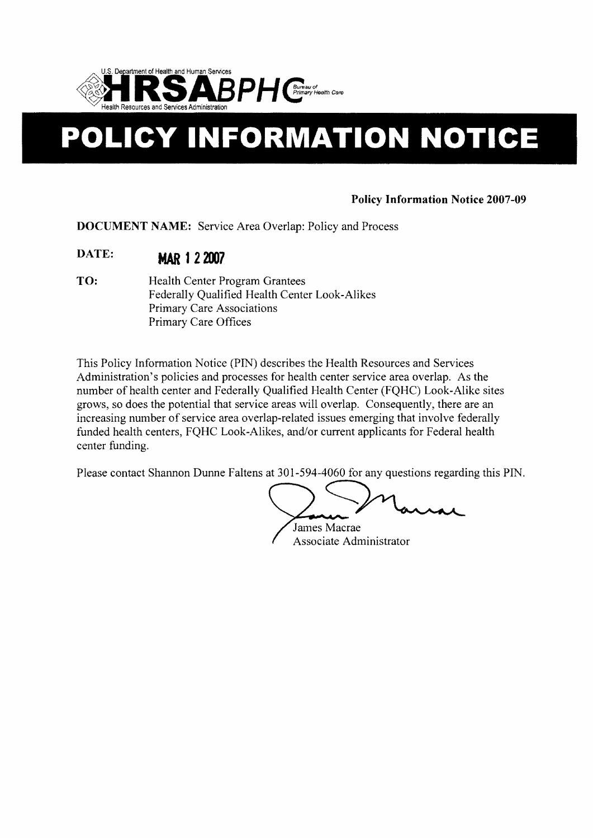

# **POLICY INFORMATION NOTICE**

# **Policy Information Notice 2007-09**

**DOCUMENT NAME:** Service Area Overlap: Policy and Process

- **DATE: MAR 122007**
- **TO:** Health Center Program Grantees Federally Qualified Health Center Look-Alikes Primary Care Associations Primary Care Offices

This Policy Information Notice (PIN) describes the Health Resources and Services Administration's policies and processes for health center service area overlap. As the number of health center and Federally Qualified Health Center (FQHC) Look-Alike sites grows, so does the potential that service areas will overlap. Consequently, there are an increasing number of service area overlap-related issues emerging that involve federally funded health centers, FQHC Look-Alikes, and/or current applicants for Federal health center funding.

Please contact Shannon Dunne Faltens at 301-594-4060 for any questions regarding this PIN.

James Macrae Associate Administrator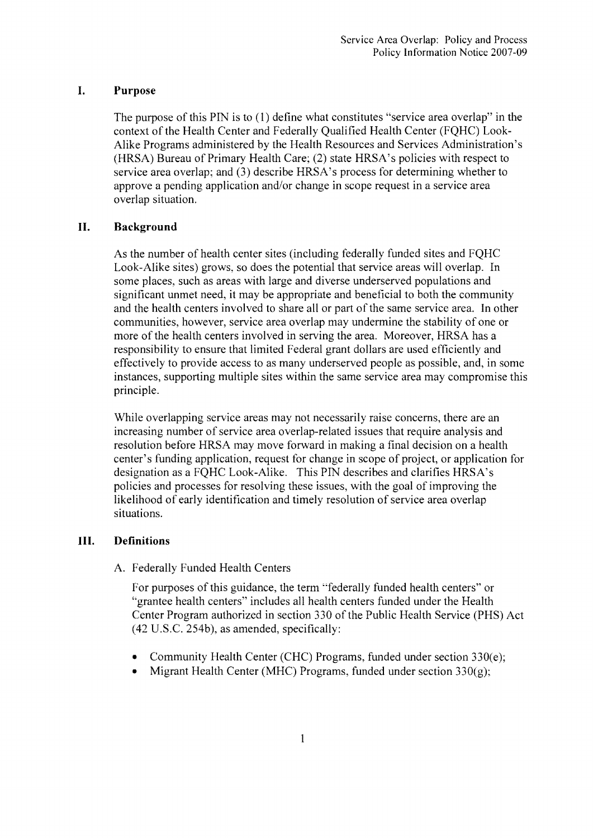#### **I. Purpose**

The purpose of this PIN is to (1) define what constitutes "service area overlap" in the context of the Health Center and Federally Qualified Health Center (FQHC) Look-Alike Programs administered by the Health Resources and Services Administration's (HRSA) Bureau of Primary Health Care; (2) state HRSA's policies with respect to service area overlap; and (3) describe HRSA's process for determining whether to approve a pending application and/or change in scope request in a service area overlap situation.

### **II. Background**

As the number of health center sites (including federally funded sites and FQHC Look-Alike sites) grows, so does the potential that service areas will overlap. In some places, such as areas with large and diverse underserved populations and significant unmet need, it may be appropriate and beneficial to both the community and the health centers involved to share all or part of the same service area. In other communities, however, service area overlap may undermine the stability of one or more of the health centers involved in serving the area. Moreover, HRSA has a responsibility to ensure that limited Federal grant dollars are used efficiently and effectively to provide access to as many underserved people as possible, and, in some instances, supporting multiple sites within the same service area may compromise this principle.

While overlapping service areas may not necessarily raise concerns, there are an increasing number of service area overlap-related issues that require analysis and resolution before HRSA may move forward in making a final decision on a health center's funding application, request for change in scope of project, or application for designation as a FQHC Look-Alike. This PIN describes and clarifies HRSA's policies and processes for resolving these issues, with the goal of improving the likelihood of early identification and timely resolution of service area overlap situations.

# **III. Definitions**

A. Federally Funded Health Centers

For purposes of this guidance, the term "federally funded health centers" or "grantee health centers" includes all health centers funded under the Health Center Program authorized in section 330 of the Public Health Service (PHS) Act (42 U.S.C. 254b), as amended, specifically:

- Community Health Center (CHC) Programs, funded under section  $330(e)$ ;
- Migrant Health Center (MHC) Programs, funded under section  $330(g)$ ;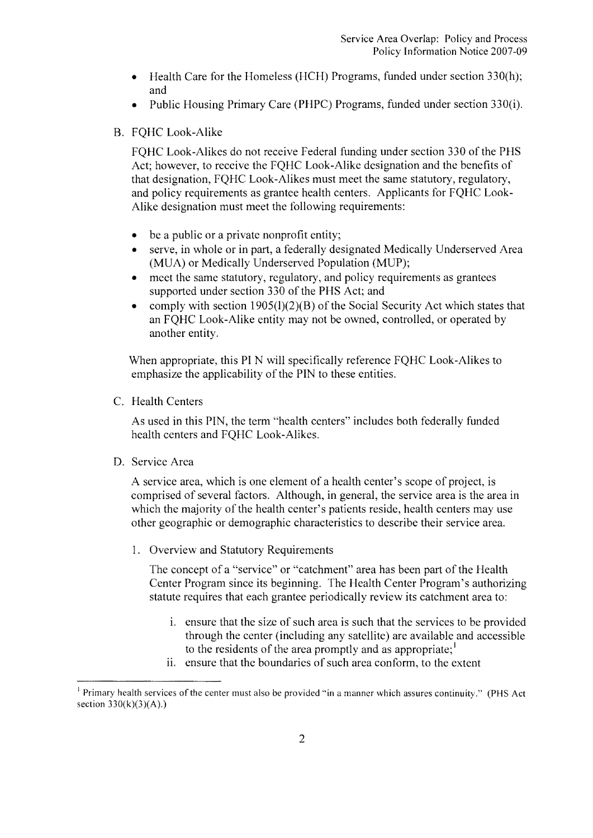- Health Care for the Homeless (HCH) Programs, funded under section  $330(h)$ ; and
- Public Housing Primary Care (PHPC) Programs, funded under section 330(i).

# B. FQHC Look-Alike

FQHC Look-Alikes do not receive Federal funding under section 330 of the PHS Act; however, to receive the FQHC Look-Alike designation and the benefits of that designation, FQHC Look-Alikes must meet the same statutory, regulatory, and policy requirements as grantee health centers. Applicants for FQHC Look-Alike designation must meet the following requirements:

- be a public or a private nonprofit entity;
- serve, in whole or in part, a federally designated Medically Underserved Area (MUA) or Medically Underserved Population (MUP);
- $\bullet$  meet the same statutory, regulatory, and policy requirements as grantees supported under section 330 of the PHS Act; and
- comply with section  $1905(l)(2)(B)$  of the Social Security Act which states that an FQHC Look-Alike entity may not be owned, controlled, or operated by another entity.

When appropriate, this **PI** N will specifically reference FQHC Look-Alikes to emphasize the applicability of the PIN to these entities.

C. Health Centers

As used in this PIN, the term "health centers" includes both federally funded health centers and FQHC Look-Alikes.

D. Service Area

A service area, which is one element of a health center's scope of project, is comprised of several factors. Although, in general, the service area is the area in which the majority of the health center's patients reside, health centers may use other geographic or demographic characteristics to describe their service area.

1. Overview and Statutory Requirements

The concept of a "service" or "catchment" area has been part of the Health Center Program since its beginning. The Health Center Program's authorizing statute requires that each grantee periodically review its catchment area to:

- i. ensure that the size of such area is such that the services to be provided through the center (including any satellite) are available and accessible to the residents of the area promptly and as appropriate;
- i. ensure that the boundaries of such area conform, to the extent

<sup>&</sup>lt;sup>1</sup> Primary health services of the center must also be provided "in a manner which assures continuity." (PHS Act section  $330(k)(3)(A)$ .)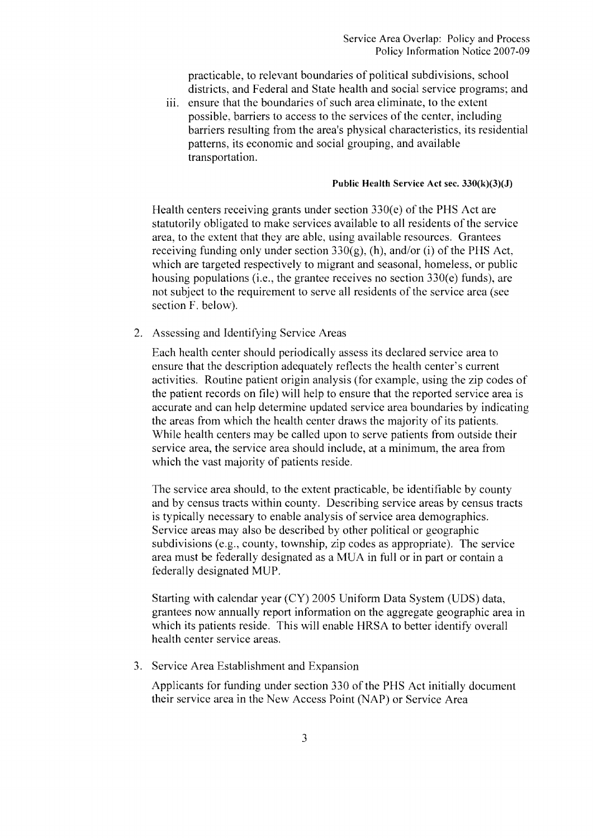practicable, to relevant boundaries of political subdivisions, school districts, and Federal and State health and social service programs; and

iii. ensure that the boundaries of such area eliminate, to the extent possible, barriers to access to the services of the center, including barriers resulting from the area's physical characteristics, its residential patterns, its economic and social grouping, and available transportation.

#### **Public Health** Service Act sec. 330(k)(3)(J)

Health centers receiving grants under section 330(e) of the PHS Act are statutorily obligated to make services available to all residents of the service area, to the extent that they are able, using available resources. Grantees receiving funding only under section  $330(g)$ , (h), and/or (i) of the PHS Act, which are targeted respectively to migrant and seasonal, homeless, or public housing populations (i.e., the grantee receives no section 330(e) funds), are not subject to the requirement to serve all residents of the service area (see section F. below).

Assessing and Identifying Service Areas

Each health center should periodically assess its declared service area to ensure that the description adequately reflects the health center's current activities. Routine patient origin analysis (for example, using the zip codes of the patient records on file) will help to ensure that the reported service area is accurate and can help determine updated service area boundaries by indicating the areas from which the health center draws the majority of its patients. While health centers may be called upon to serve patients from outside their service area, the service area should include, at a minimum, the area from which the vast majority of patients reside.

The service area should, to the extent practicable, be identifiable by county and by census tracts within county. Describing service areas by census tracts is typically necessary to enable analysis of service area demographics. Service areas may also be described by other political or geographic subdivisions (e.g., county, township, zip codes as appropriate). The service area must be federally designated as a MUA in full or in part or contain a federally designated MUP.

Starting with calendar year (CY) 2005 Uniform Data System (UDS) data, grantees now annually report information on the aggregate geographic area in which its patients reside. This will enable HRSA to better identify overall health center serviee areas.

3. Service Area Establishment and Expansion

Applicants for funding under section 330 of the PHS Act initially document their service area in the New Access Point (NAP) or Service Area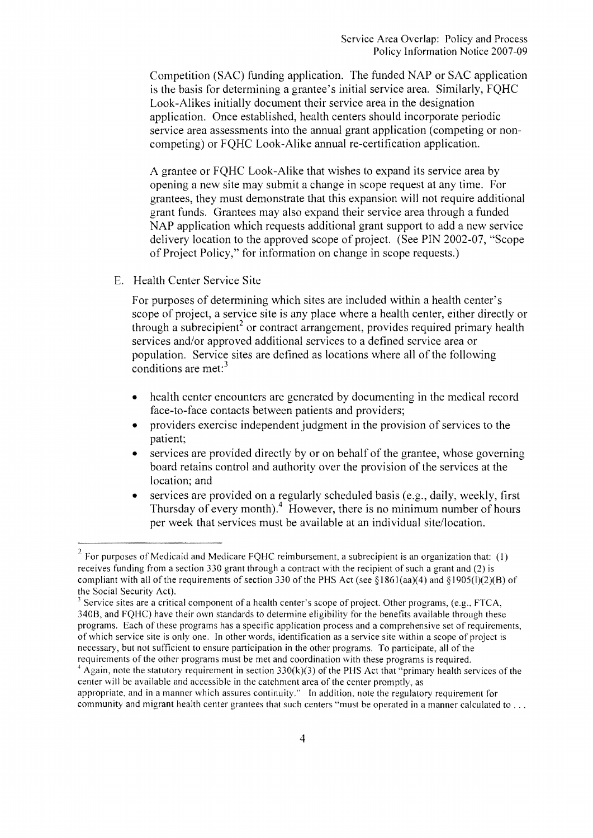Competition (SAC) funding application. The funded NAP or SAC application is the basis for determining a grantee's initial service area. Similarly, FQHC Look-Alikes initially document their service area in the designation application. Once established, health centers should incorporate periodic service area assessments into the annual grant application (competing or noncompeting) or FQHC Look-Alike annual re-certification application.

A grantee or FQHC Look-Alike that wishes to expand its service area by opening a new site may submit a change in scope request at any time. For grantees, they must demonstrate that this expansion will not require additional grant funds. Grantees may also expand their service area through a funded NAP application which requests additional grant support to add a new service delivery location to the approved scope of project. (See PIN 2002-07, "Scope of Project Policy," for information on change in scope requests.)

#### Health Center Service Site

For purposes of determining which sites are included within a health center's scope of project, a service site is any place where a health center, either directly or through a subrecipient<sup>2</sup> or contract arrangement, provides required primary health services and/or approved additional services to a defined service area or population. Service sites are defined as locations where all of the following conditions are met: $3$ 

- health center encounters are generated by documenting in the medical record face-to-face contacts between patients and providers;
- providers exercise independent judgment in the provision of services to the patient;
- services are provided directly by or on behalf of the grantee, whose governing board retains control and authority over the provision of the services at the location; and
- services are provided on a regularly scheduled basis (e.g., daily, weekly, first Thursday of every month).4 However, there is no minimum number of hours per week that services must be available at an individual site/location.

 $2$  For purposes of Medicaid and Medicare FQHC reimbursement, a subrecipient is an organization that: (1) receives funding from a section 330 grant through a contract with the recipient of such a grant and (2) is compliant with all of the requirements of section 330 of the PHS Act (see §1861(aa)(4) and §1905(1)(2)(B) of the Social Security Act).

 $3$  Service sites are a critical component of a health center's scope of project. Other programs, (e.g., FTCA, 3408, and FQHC) have their own standards to determine eligibility for the benefits available through these programs. Each of these programs has a specific application process and a comprehensive set of requirements, ofwhich service site is only one. In other words, identification as a service site within a scope of project is necessary, but not sufficient to ensure participation in the other programs. To participate, all of the requirements of the other programs must be met and coordination with these programs is required.

 $4$  Again, note the statutory requirement in section 330(k)(3) of the PHS Act that "primary health services of the center will be available and accessible in the catchment area of the center promptly, as appropriate, and in a manner which assures continuity." In addition, note the regulatory requirement for community and migrant health center grantees that such centers "must be operated in a manner calculated to ...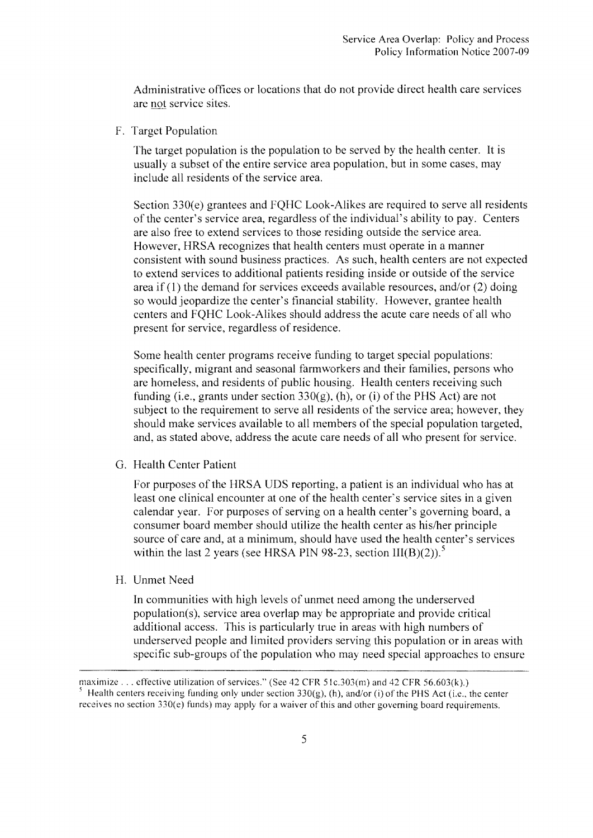Administrative offices or locations that do not provide direct health care services are not service sites.

F. Target Population

The target population is the population to be served by the health center. It is usually a subset of the entire service area population, but in some cases, may include all residents of the service area.

Section 330(e) grantees and FQHC Look-Alikes are required to serve all residents of the center's service area, regardless of the individual's ability to pay. Centers are also free to extend services to those residing outside the service area. However, HRSA recognizes that health centers must operate in a manner consistent with sound business practices. As such, health centers are not expected to extend services to additional patients residing inside or outside of the service area if (1) the demand for services exceeds available resources, and/or (2) doing so would jeopardize the center's financial stability. However, grantee health centers and FQHC Look-Alikes should address the acute care needs of all who present for service, regardless of residence.

Some health center programs receive funding 10 target special populations: specifically, migrant and seasonal farmworkers and their families, persons who are homeless, and residents of public housing. Health centers receiving such funding (i.e., grants under section  $330(g)$ , (h), or (i) of the PHS Act) are not subject to the requirement to serve all residents of the service area; however, they should make services available to all members of the special population targeted, and, as stated above, address the acute care needs of all who present for service.

G. Health Center Patient

For purposes of the HRSA UDS reporting, a patient is an individual who has at least one clinical encounter at one of the health center's service sites in a given calendar year. For purposes of serving on a health center's governing board, a consumer board member should utilize the health center as hislher principle source of care and, at a minimum, should have used the health center's services within the last 2 years (see HRSA PIN 98-23, section  $III(B)(2)$ ).<sup>5</sup>

H. Unmet Need

In communities with high levels of unmet need among the underserved population(s), service area overlap may be appropriate and provide critical additional access. This is particularly true in areas with high numbers of underserved people and limited providers serving this population or in areas with specific sub-groups of the population who may need special approaches to ensure

maximize ... effective utilization of services." (See 42 CFR 51c.303(m) and 42 CFR 56.603(k).) <sup>5</sup> Health centers receiving funding only under section  $330(g)$ , (h), and/or (i) of the PHS Act (i.e., the center receives no section 330(e) funds) may apply for a waiver of this and other governing board requirements.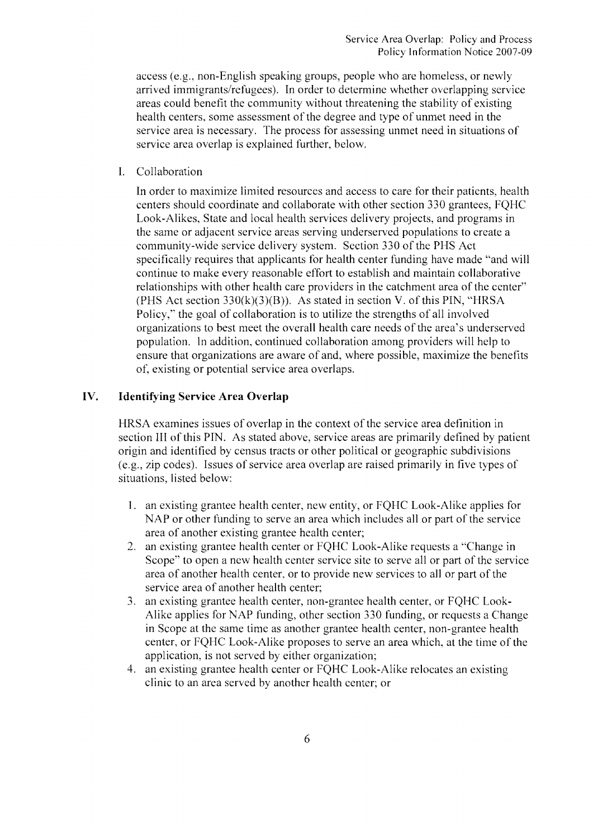access (e.g., non-English speaking groups, people who are homeless, or newly arrived immigrants/refugees). In order to determine whether overlapping service areas could benefit the community without threatening the stability of existing health centers, some assessment of the degree and type of unmet need in the service area is necessary. The process for assessing unmet need in situations of service area overlap is explained further, below.

I. Collaboration

In order to maximize limited resources and access to care for their patients, health centers should coordinate and collaborate with other section *330* grantees, FQHC Look-Alikes, State and local health services delivery projects, and programs in the same or adjacent service areas serving underserved populations to create a community-wide service delivery system. Section *330* of the PHS Act specifically requires that applicants for health center funding have made "and will continue to make every reasonable effort to establish and maintain collaborative relationships with other health care providers in the catchment area of the center" (PHS Act section  $330(k)(3)(B)$ ). As stated in section V. of this PIN, "HRSA Policy," the goal of collaboration is to utilize the strengths of all involved organizations to best meet the overall health care needs of the area's underserved population. In addition, continued collaboration among providers will help to ensure that organizations are aware of and, where possible, maximize the benefits ot: existing or potential service area overlaps.

# **IV. Identifying Service Area Overlap**

HRSA examines issues of overlap in the context of the service area definition in section III of this PIN. As stated above, service areas are primarily defined by patient origin and identified by census tracts or other political or geographic subdivisions (e.g., zip codes). Issues of service area overlap are raised primarily in five types of situations, listed below:

- 1. an existing grantee health center, new entity, or FQHC Look-Alike applies for NAP or other funding to serve an area which includes all or part of the service area of another existing grantee health center;
- 2. an existing grantee health center or FQHC Look-Alike requests a "Change in Scope" to open a new health center service site to serve all or part of the service area of another health center, or to provide new services to all or part of the service area of another health center;
- 3. an existing grantee health center, non-grantee health center, or FQHC Look-Alike applies for NAP funding, other section *330* funding, or requests a Change in Scope at the same time as another grantee health center, non-grantee health center, or FQHC Look-Alike proposes to serve an area which, at the time of the application, is not served by either organization;
- 4. an existing grantee health center or FQHC Look-Alike relocates an existing clinic to an area served by another health center; or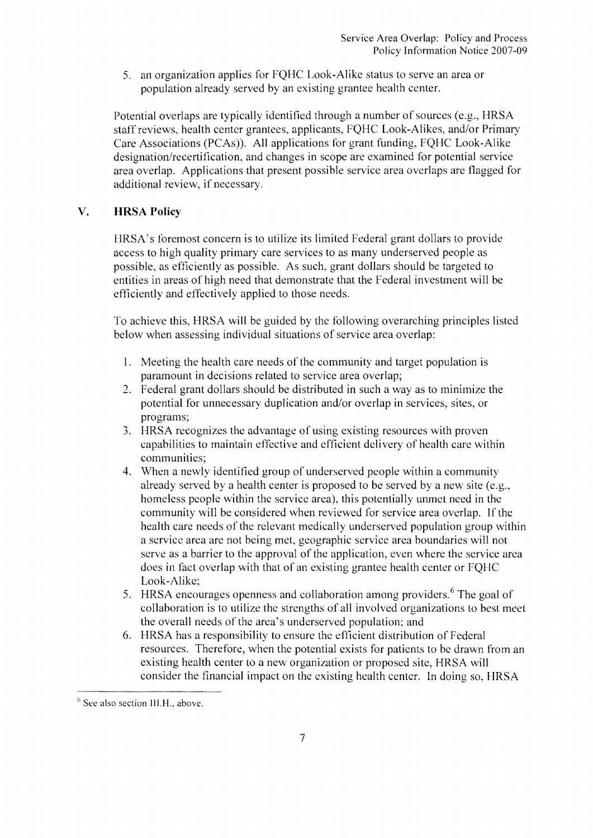5. an organization applies for FQHC Look-Alike status to serve an area or population already served by an existing grantee health center.

Potential overlaps are typically identified through a number of sources (e.g., HRSA staff reviews, health center grantees, applicants, FQHC Look-Alikes, and/or Primary Care Associations (PCAs)). All applications for grant funding, FQHC Look-Alike designation/recertification, and changes in scope are examined for potential service area overlap. Applications that present possible service area overlaps are flagged for additional review, if necessary.

## **V. HRSA Policy**

HRSA's foremost concern is to utilize its limited Federal grant dollars to provide access to high quality primary care services to as many underserved people as possible, as efficiently as possible. As such, grant dollars should be targeted to entities in areas of high need that demonstrate that the Federal investment will be efficiently and effectively applied to those needs.

To achieve this, HRSA will be guided by the following overarching principles listed below when assessing individual situations of service area overlap:

- I. Meeting the health care needs of the community and target population is paramount in decisions related to service area overlap;
- 2. Federal grant dollars should be distributed in such a way as to minimize the potential for unnecessary duplication and/or overlap in services, sites, or programs;
- 3. HRSA recognizes the advantage of using existing resources with proven capabilities to maintain effective and efficient delivery of health care within communities;
- 4. When a newly identified group of underserved people within a community already served by a health center is proposed to be served by a new site (e.g., homeless people within the service area), this potentially unmet need in the community will be considered when reviewed for service area overlap. If the health care needs of the relevant medically underserved population group within a service area are not being met, geographic service area boundaries will not serve as a barrier to the approval of the application, even where the service area does in fact overlap with that of an existing grantee health center or FQHC Look-Alike;
- 5. HRSA encourages openness and collaboration among providers.<sup>6</sup> The goal of collaboration is to utilize the strengths of all involved organizations to best meet the overall needs of the area's underserved population; and
- 6. HRSA has a responsibility to ensure the efficient distribution of Federal resources. Therefore, when the potential exists for patients to be drawn from an existing health center to a new organization or proposed site, HRSA will consider the financial impact on the existing health center. In doing so, HRSA

 $6$  See also section III.H., above.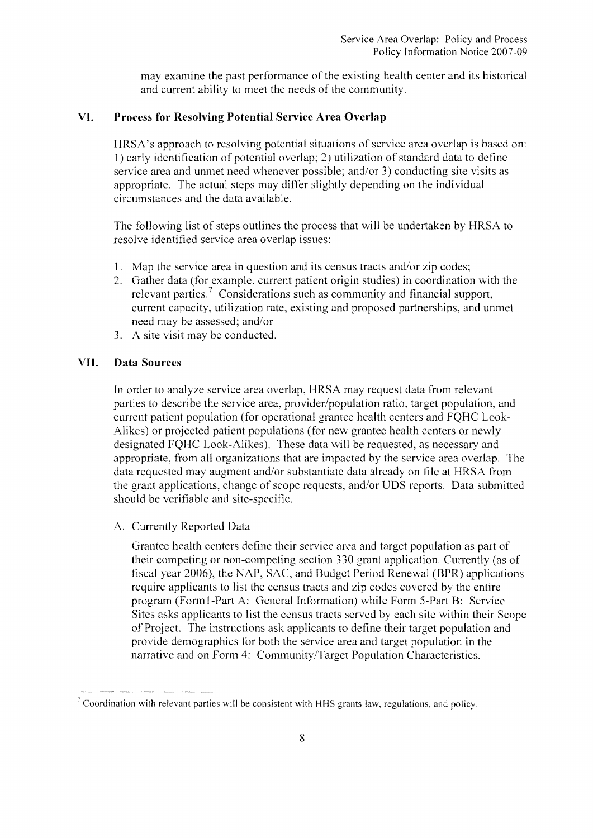may examine the past performance of the existing health center and its historical and current ability to meet the needs of the community.

### **VI. Process for Resolving Potential Service Area Overlap**

HRSA's approach to resolving potential situations of service area overlap is based on: 1) early identification of potential overlap; 2) utilization of standard data to define service area and unmet need whenever possible; and/or 3) conducting site visits as appropriate. The actual steps may differ slightly depending on the individual circumstances and the data available.

The following list of steps outlines the process that will be undertaken by HRSA to resolve identified service area overlap issues:

- 1. Map the service area in question and its census tracts and/or zip codes;
- 2. Gather data (for example, current patient origin studies) in coordination with the relevant parties.? Considerations such as community and financial support, current capacity, utilization rate, existing and proposed partnerships, and unmet need may be assessed; and/or
- 3. A site visit may be conducted.

#### **VII. Data Sources**

In order to analyze service area overlap, HRSA may request data from relevant parties to describe the service area, provider/population ratio, target population, and current patient population (for operational grantee health centers and FQHC Look-Alikes) or projected patient populations (for new grantee health centers or newly designated FQHC Look-Alikes). These data will be requested, as necessary and appropriate, from all organizations that are impacted by the service area overlap. The data requested may augment and/or substantiate data already on file at HRSA from the grant applications, change of scope requests, and/or UDS reports. Data submitted should be verifiable and site-specific.

A. Currently Reported Data

Grantee health centers define their service area and target population as part of their competing or non-competing section 330 grant application. Currently (as of fiscal year 2006), the NAP, SAC, and Budget Period Renewal (BPR) applications require applicants to list the census tracts and zip codes covered by the entire program (Forml-Part A: General Information) while Form 5-Part B: Service Sites asks applicants to list the census tracts served by each site within their Scope of Project. The instructions ask applicants to define their target population and provide demographics tor both the service area and target population in the narrative and on Form 4: Community/Target Population Characteristics.

 $\degree$  Coordination with relevant parties will be consistent with HHS grants law, regulations, and policy.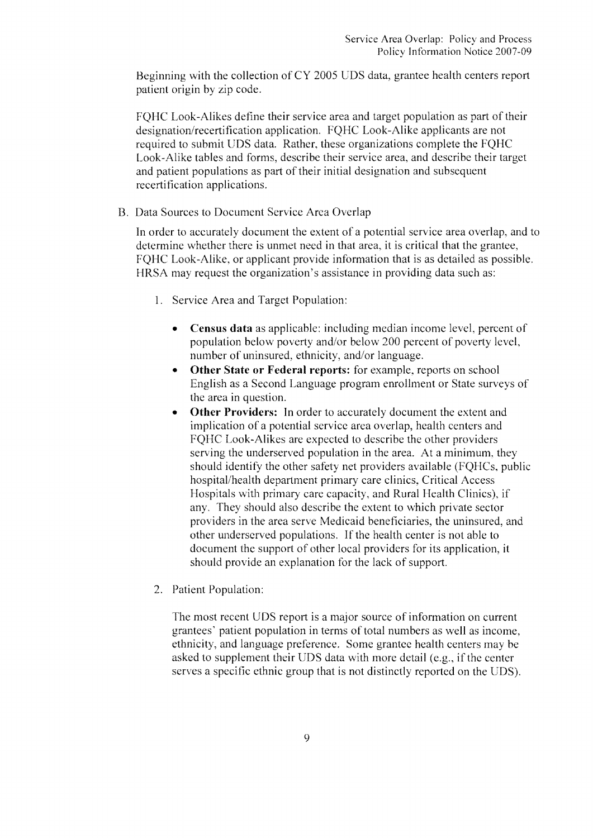Beginning with the collection of CY 2005 UDS data, grantee health centers report patient origin by zip code.

FQHC Look-Alikes define their service area and target population as part of their designation/recertification application. FQHC Look-Alike applicants are not required to submit UDS data. Rather, these organizations complete the FQHC Look-Alike tables and forms, describe their service area, and describe their target and patient populations as part of their initial designation and subsequent recertification applications.

B. Data Sources to Document Service Area Overlap

In order to accurately document the extent of a potential service area overlap, and to determine whether there is unmet need in that area, it is eritical that the grantee, FQHC Look-Alike, or applicant provide information that is as detailed as possible. HRSA may request the organization's assistance in providing data such as:

- 1. Service Area and Target Population:
	- **Census data** as applicable: including median income level, percent of population below poverty and/or below 200 percent of poverty level, number of uninsured, ethnicity, and/or language.
	- **Other State or Federal reports:** for example, reports on school English as a Second Language program enrollment or State surveys of the area in question.
	- **Other Providers:** In order to accurately document the extent and implication of a potential service area overlap, health centers and FQHC Look-Alikes are expected to describe the other providers serving the underserved population in the area. At a minimum. they should identify the other safety net providers available (FQHCs, public hospital/health department primary care clinics, Critical Access Hospitals with primary care capacity, and Rural Health Clinics), if any. They should also describe the extent to \vhich private sector providers in the area serve Medicaid beneficiaries, the uninsured, and other underserved populations. If the health center is not able to doeument the support of other local providers for its application, it should provide an explanation for the lack of support.
- 2. Patient Population:

The most recent UDS report is a major source of information on current grantees' patient population in terms of total numbers as \vell as income, ethnicity, and language preference. Some grantee health centers may be asked to supplement their UDS data with more detail (e.g., if the center serves a specific ethnic group that is not distinctly reported on the UDS).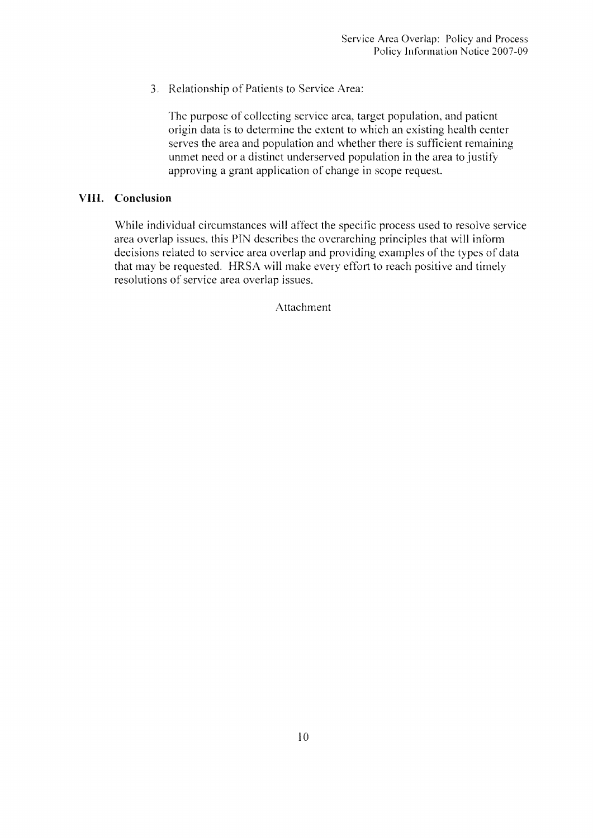3. Relationship of Patients to Service Area:

The purpose of collecting service area, target population, and patient origin data is to determine the extent to which an existing health center serves the area and population and whether there is sufficient remaining unmet need or a distinct underserved population in the area to justify approving a grant application of change in scope request.

#### **VIII. Conclusion**

While individual circumstances will affect the specific process used to resolve service area overlap issues, this PIN describes the overarching principles that will inform decisions related to service area overlap and providing examples of the types of data that may be requested. HRSA will make every effort to reach positive and timely resolutions of service area overlap issues.

Attachment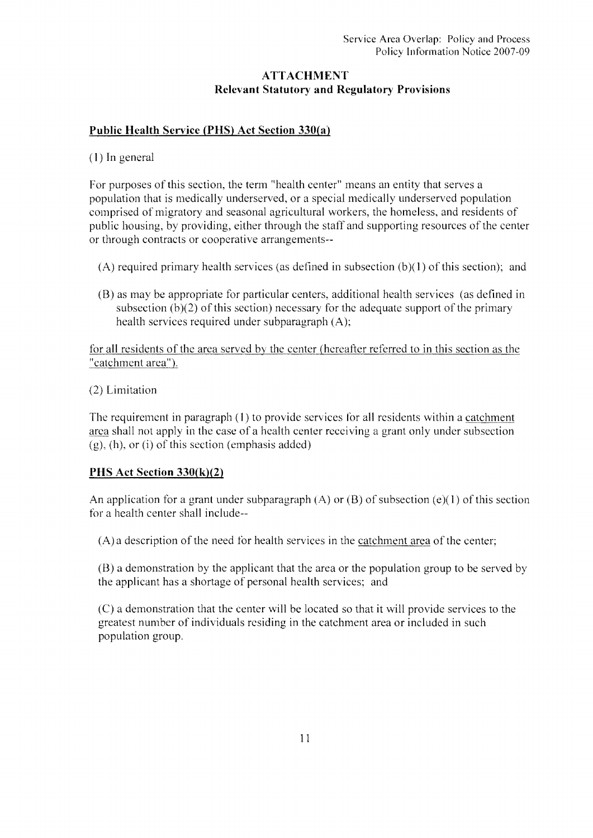# **ATTACHMENT Relevant Statutory and Regulatory Provisions**

# **Public Health Service (PHS) Act Section 330(a)**

#### (1) In general

For purposes of this section, the term "health center" means an entity that serves a population that is medically underserved, or a special medically underserved population eomprised of migratory and seasonal agricultural workers, the homeless, and residents of public housing, by providing, either through the staff and supporting resources of the center or through contracts or cooperative arrangements-

- $(A)$  required primary health services (as defined in subsection  $(b)(1)$  of this section); and
- (8) as may be appropriate for particular eenters, additional health services (as defined **in**  subsection  $(b)(2)$  of this section) necessary for the adequate support of the primary health services required under subparagraph (A);

for all residents of the area served by the center (hereafter referred to in this section as the "catchment area").

(2) Limitation

The requirement in paragraph  $(1)$  to provide services for all residents within a catchment area shall not apply in the case of a health center receiving a grant only under subsection  $(g)$ , (h), or (i) of this section (emphasis added)

# **PHS Act Section 330(k)(2)**

An application for a grant under subparagraph  $(A)$  or  $(B)$  of subsection  $(e)(1)$  of this section for a health center shall include-

(A) a description of the need for health services in the catchment area of the center;

(8) a demonstration by the applicant that the area or the population group to be served by the applicant has a shortage of personal health services; and

(C) a demonstration that the center **will** be located so that it will provide services to the greatest number of individuals residing in the catchment area or included in such population group.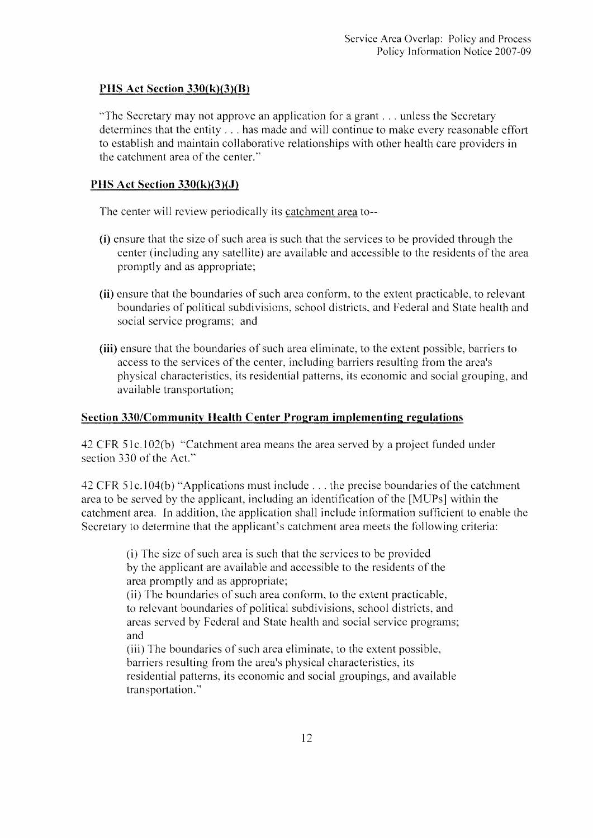# **PHS Act Section 330{k)(3){B)**

"The Secretary may not approve an application for a grant ... unless the Secretary determines that the entity ... has made and will continue to make every reasonable effort to establish and maintain collaborative relationships with other health care providers in the catchment area of the center."

## **PHS Act Section 330(k)(3)(J)**

The center will review periodically its catchment area to-

- **(i)** ensure that the size of such area is such that the services to be provided through the center (including any satellite) are available and accessible to the residents of the area promptly and as appropriate;
- **(ii)** ensure that the boundaries of such area conform, to the extent practicable, to relevant boundaries of political subdivisions, school districts, and Federal and State health and social service programs; and
- **(iii)** ensure that the boundaries of such area eliminate, to the extent possible, barriers to access to the services of the center, including barriers resulting from the area's physical characteristics, its residential patterns, its economic and social grouping, and available transportation;

### **Section 330/Communitv Health Center Program implementing regulations**

42 CFR 51c.102(b) "Catchment area means the area served by a project funded under section 330 of the Act."

42 CFR Slc.l04(b) "Applications must include ... the precise boundaries of the catchment area to be served by the applicant, including an identification of the [MUPs] within the catchment area. **In** addition, the application shall include information sufficient to enable the Secretary to determine that the applicant's catchment area meets the following criteria:

> (i) The size of such area is such that the services to be provided by the applicant are available and accessible to the residents of the area promptly and as appropriate; (ii) The boundaries of such area conform, to the extent practicable, to relevant boundaries of political subdivisions, school districts, and areas served by Federal and State health and social service programs; and (iii) The boundaries of such area eliminate. to the extent possible, barriers resulting from the area's physical characteristics, its residential patterns, its economic and social groupings, and available transportation."